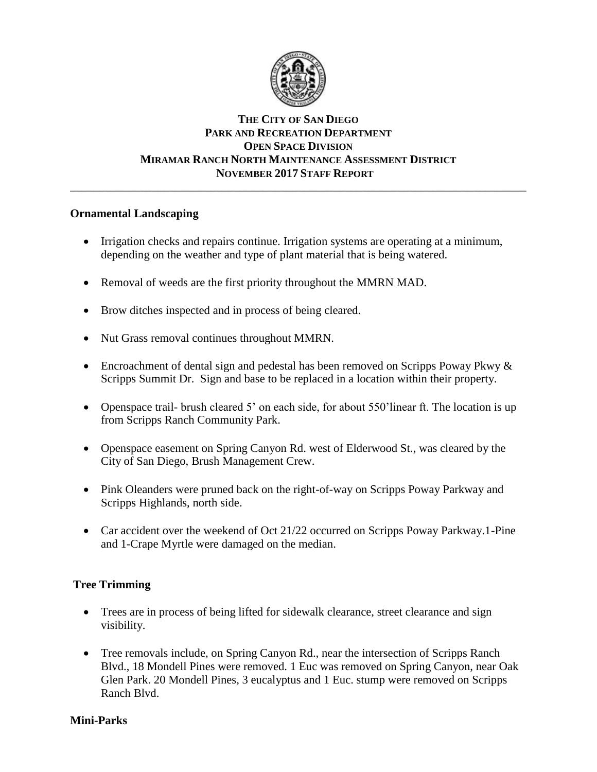

# **THE CITY OF SAN DIEGO PARK AND RECREATION DEPARTMENT OPEN SPACE DIVISION MIRAMAR RANCH NORTH MAINTENANCE ASSESSMENT DISTRICT NOVEMBER 2017 STAFF REPORT**

\_\_\_\_\_\_\_\_\_\_\_\_\_\_\_\_\_\_\_\_\_\_\_\_\_\_\_\_\_\_\_\_\_\_\_\_\_\_\_\_\_\_\_\_\_\_\_\_\_\_\_\_\_\_\_\_\_\_\_\_\_\_\_\_\_\_\_\_\_\_\_\_\_\_\_\_\_\_

### **Ornamental Landscaping**

- Irrigation checks and repairs continue. Irrigation systems are operating at a minimum, depending on the weather and type of plant material that is being watered.
- Removal of weeds are the first priority throughout the MMRN MAD.
- Brow ditches inspected and in process of being cleared.
- Nut Grass removal continues throughout MMRN.
- Encroachment of dental sign and pedestal has been removed on Scripps Poway Pkwy & Scripps Summit Dr. Sign and base to be replaced in a location within their property.
- Openspace trail- brush cleared 5' on each side, for about 550'linear ft. The location is up from Scripps Ranch Community Park.
- Openspace easement on Spring Canyon Rd. west of Elderwood St., was cleared by the City of San Diego, Brush Management Crew.
- Pink Oleanders were pruned back on the right-of-way on Scripps Poway Parkway and Scripps Highlands, north side.
- Car accident over the weekend of Oct 21/22 occurred on Scripps Poway Parkway.1-Pine and 1-Crape Myrtle were damaged on the median.

# **Tree Trimming**

- Trees are in process of being lifted for sidewalk clearance, street clearance and sign visibility.
- Tree removals include, on Spring Canyon Rd., near the intersection of Scripps Ranch Blvd., 18 Mondell Pines were removed. 1 Euc was removed on Spring Canyon, near Oak Glen Park. 20 Mondell Pines, 3 eucalyptus and 1 Euc. stump were removed on Scripps Ranch Blvd.

### **Mini-Parks**